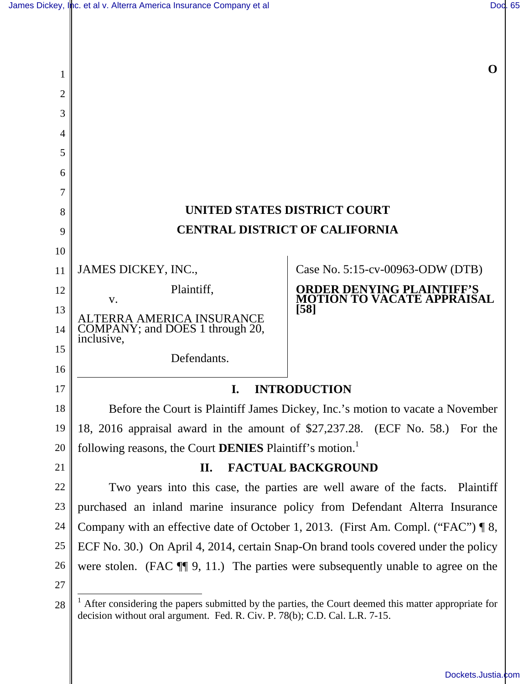**O**

| 1        |                                                                                                                                                                                    | v                                                               |
|----------|------------------------------------------------------------------------------------------------------------------------------------------------------------------------------------|-----------------------------------------------------------------|
| 2        |                                                                                                                                                                                    |                                                                 |
| 3        |                                                                                                                                                                                    |                                                                 |
| 4        |                                                                                                                                                                                    |                                                                 |
| 5        |                                                                                                                                                                                    |                                                                 |
| 6        |                                                                                                                                                                                    |                                                                 |
| 7        |                                                                                                                                                                                    |                                                                 |
| 8        | UNITED STATES DISTRICT COURT                                                                                                                                                       |                                                                 |
| 9        | <b>CENTRAL DISTRICT OF CALIFORNIA</b>                                                                                                                                              |                                                                 |
| 10       |                                                                                                                                                                                    |                                                                 |
| 11       | JAMES DICKEY, INC.,                                                                                                                                                                | Case No. 5:15-cv-00963-ODW (DTB)                                |
| 12       | Plaintiff,<br>V.                                                                                                                                                                   | <b>ORDER DENYING PLAINTIFF'S<br/>MOTION TO VACATE APPRAISAL</b> |
| 13<br>14 | TERRA AMERICA INSURANCE<br>COMPANY; and DOES 1 through 20,<br>inclusive,                                                                                                           | $[58]$                                                          |
| 15<br>16 | Defendants.                                                                                                                                                                        |                                                                 |
| 17       | <b>INTRODUCTION</b><br>I.                                                                                                                                                          |                                                                 |
| 18       | Before the Court is Plaintiff James Dickey, Inc.'s motion to vacate a November                                                                                                     |                                                                 |
| 19       | 18, 2016 appraisal award in the amount of \$27,237.28. (ECF No. 58.) For the                                                                                                       |                                                                 |
| 20       | following reasons, the Court DENIES Plaintiff's motion. <sup>1</sup>                                                                                                               |                                                                 |
| 21       | <b>FACTUAL BACKGROUND</b><br>П.                                                                                                                                                    |                                                                 |
| 22       | Two years into this case, the parties are well aware of the facts. Plaintiff                                                                                                       |                                                                 |
| 23       | purchased an inland marine insurance policy from Defendant Alterra Insurance                                                                                                       |                                                                 |
| 24       | Company with an effective date of October 1, 2013. (First Am. Compl. ("FAC") $\P 8$ ,                                                                                              |                                                                 |
| 25       | ECF No. 30.) On April 4, 2014, certain Snap-On brand tools covered under the policy                                                                                                |                                                                 |
| 26       | were stolen. (FAC $\P$ , 9, 11.) The parties were subsequently unable to agree on the                                                                                              |                                                                 |
| 27       |                                                                                                                                                                                    |                                                                 |
| 28       | After considering the papers submitted by the parties, the Court deemed this matter appropriate for<br>decision without oral argument. Fed. R. Civ. P. 78(b); C.D. Cal. L.R. 7-15. |                                                                 |

[Dockets.Justia.com](https://dockets.justia.com/)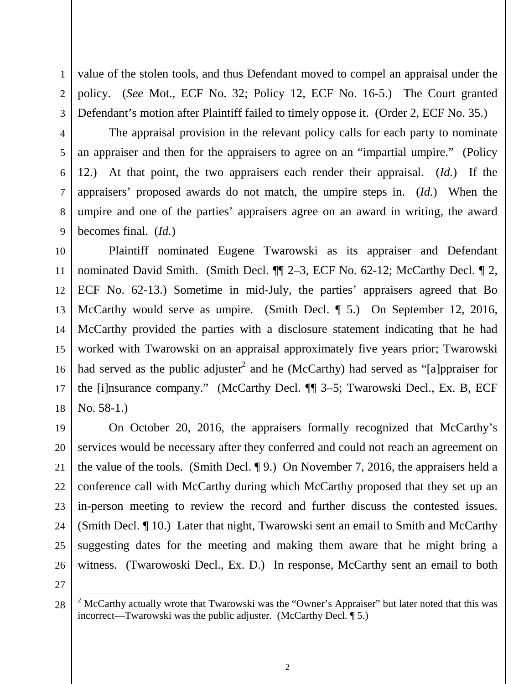value of the stolen tools, and thus Defendant moved to compel an appraisal under the policy. (*See* Mot., ECF No. 32; Policy 12, ECF No. 16-5.) The Court granted Defendant's motion after Plaintiff failed to timely oppose it. (Order 2, ECF No. 35.)

The appraisal provision in the relevant policy calls for each party to nominate an appraiser and then for the appraisers to agree on an "impartial umpire." (Policy 12.) At that point, the two appraisers each render their appraisal. (*Id.*) If the appraisers' proposed awards do not match, the umpire steps in. (*Id.*) When the umpire and one of the parties' appraisers agree on an award in writing, the award becomes final. (*Id.*)

10 11 12 13 14 15 16 17 18 Plaintiff nominated Eugene Twarowski as its appraiser and Defendant nominated David Smith. (Smith Decl.  $\P\P$  2–3, ECF No. 62-12; McCarthy Decl.  $\P$  2, ECF No. 62-13.) Sometime in mid-July, the parties' appraisers agreed that Bo McCarthy would serve as umpire. (Smith Decl. ¶ 5.) On September 12, 2016, McCarthy provided the parties with a disclosure statement indicating that he had worked with Twarowski on an appraisal approximately five years prior; Twarowski had served as the public adjuster<sup>2</sup> and he (McCarthy) had served as "[a]ppraiser for the [i]nsurance company." (McCarthy Decl. ¶¶ 3–5; Twarowski Decl., Ex. B, ECF No. 58-1.)

19 20 21 22 23 24 25 26 On October 20, 2016, the appraisers formally recognized that McCarthy's services would be necessary after they conferred and could not reach an agreement on the value of the tools. (Smith Decl. ¶ 9.) On November 7, 2016, the appraisers held a conference call with McCarthy during which McCarthy proposed that they set up an in-person meeting to review the record and further discuss the contested issues. (Smith Decl. ¶ 10.) Later that night, Twarowski sent an email to Smith and McCarthy suggesting dates for the meeting and making them aware that he might bring a witness. (Twarowoski Decl., Ex. D.) In response, McCarthy sent an email to both

27

 $\overline{a}$ 

1

2

3

4

5

6

7

8

9

<sup>28</sup>  <sup>2</sup> McCarthy actually wrote that Twarowski was the "Owner's Appraiser" but later noted that this was incorrect—Twarowski was the public adjuster. (McCarthy Decl. ¶ 5.)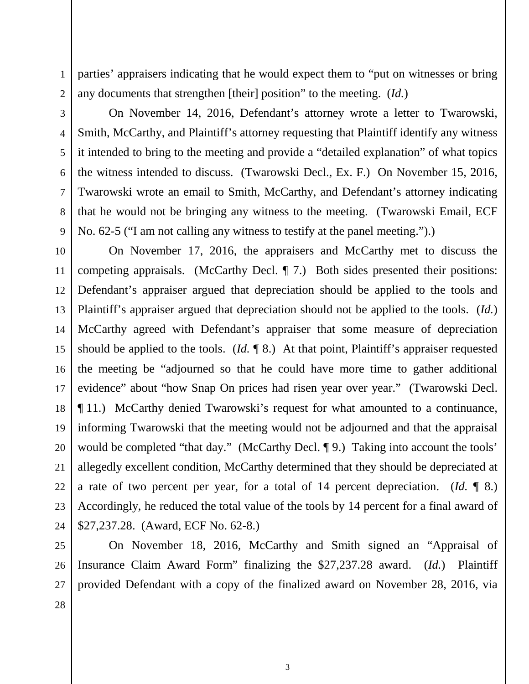1

2

parties' appraisers indicating that he would expect them to "put on witnesses or bring any documents that strengthen [their] position" to the meeting. (*Id.*)

On November 14, 2016, Defendant's attorney wrote a letter to Twarowski, Smith, McCarthy, and Plaintiff's attorney requesting that Plaintiff identify any witness it intended to bring to the meeting and provide a "detailed explanation" of what topics the witness intended to discuss. (Twarowski Decl., Ex. F.) On November 15, 2016, Twarowski wrote an email to Smith, McCarthy, and Defendant's attorney indicating that he would not be bringing any witness to the meeting. (Twarowski Email, ECF No. 62-5 ("I am not calling any witness to testify at the panel meeting.").)

On November 17, 2016, the appraisers and McCarthy met to discuss the competing appraisals. (McCarthy Decl. ¶ 7.) Both sides presented their positions: Defendant's appraiser argued that depreciation should be applied to the tools and Plaintiff's appraiser argued that depreciation should not be applied to the tools. (*Id.*) McCarthy agreed with Defendant's appraiser that some measure of depreciation should be applied to the tools. (*Id.* ¶ 8.) At that point, Plaintiff's appraiser requested the meeting be "adjourned so that he could have more time to gather additional evidence" about "how Snap On prices had risen year over year." (Twarowski Decl. ¶ 11.) McCarthy denied Twarowski's request for what amounted to a continuance, informing Twarowski that the meeting would not be adjourned and that the appraisal would be completed "that day." (McCarthy Decl. 19.) Taking into account the tools' allegedly excellent condition, McCarthy determined that they should be depreciated at a rate of two percent per year, for a total of 14 percent depreciation. (*Id.* ¶ 8.) Accordingly, he reduced the total value of the tools by 14 percent for a final award of \$27,237.28. (Award, ECF No. 62-8.)

26 27 On November 18, 2016, McCarthy and Smith signed an "Appraisal of Insurance Claim Award Form" finalizing the \$27,237.28 award. (*Id.*) Plaintiff provided Defendant with a copy of the finalized award on November 28, 2016, via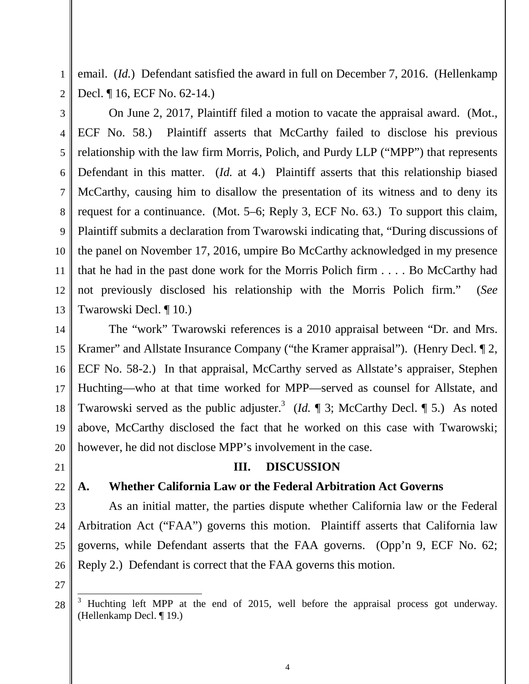email. (*Id.*) Defendant satisfied the award in full on December 7, 2016. (Hellenkamp Decl. ¶ 16, ECF No. 62-14.)

3 5 6 7 9 10 12 13 On June 2, 2017, Plaintiff filed a motion to vacate the appraisal award. (Mot., ECF No. 58.) Plaintiff asserts that McCarthy failed to disclose his previous relationship with the law firm Morris, Polich, and Purdy LLP ("MPP") that represents Defendant in this matter. (*Id.* at 4.) Plaintiff asserts that this relationship biased McCarthy, causing him to disallow the presentation of its witness and to deny its request for a continuance. (Mot. 5–6; Reply 3, ECF No. 63.) To support this claim, Plaintiff submits a declaration from Twarowski indicating that, "During discussions of the panel on November 17, 2016, umpire Bo McCarthy acknowledged in my presence that he had in the past done work for the Morris Polich firm . . . . Bo McCarthy had not previously disclosed his relationship with the Morris Polich firm." (*See* Twarowski Decl. ¶ 10.)

14 The "work" Twarowski references is a 2010 appraisal between "Dr. and Mrs. Kramer" and Allstate Insurance Company ("the Kramer appraisal"). (Henry Decl. 12, ECF No. 58-2.) In that appraisal, McCarthy served as Allstate's appraiser, Stephen Huchting—who at that time worked for MPP—served as counsel for Allstate, and Twarowski served as the public adjuster.<sup>3</sup> (*Id.*  $\parallel$  3; McCarthy Decl.  $\parallel$  5.) As noted above, McCarthy disclosed the fact that he worked on this case with Twarowski; however, he did not disclose MPP's involvement in the case.

## **III. DISCUSSION**

1

2

4

8

11

## **A. Whether California Law or the Federal Arbitration Act Governs**

As an initial matter, the parties dispute whether California law or the Federal Arbitration Act ("FAA") governs this motion. Plaintiff asserts that California law governs, while Defendant asserts that the FAA governs. (Opp'n 9, ECF No. 62; Reply 2.) Defendant is correct that the FAA governs this motion.

-

<sup>3</sup> Huchting left MPP at the end of 2015, well before the appraisal process got underway. (Hellenkamp Decl. ¶ 19.)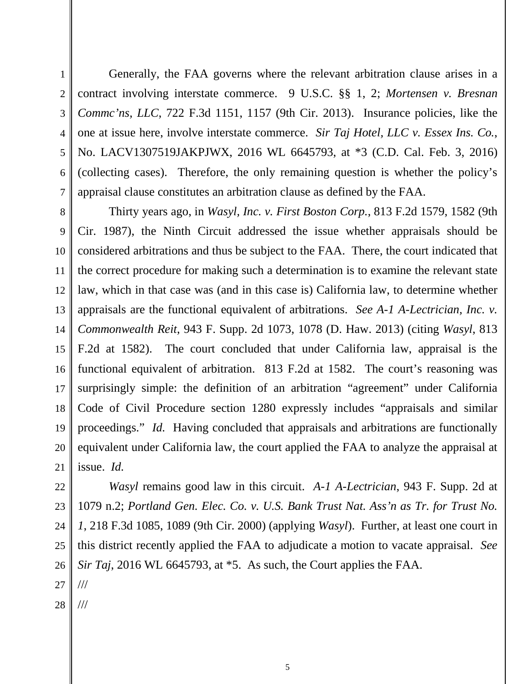1

Generally, the FAA governs where the relevant arbitration clause arises in a contract involving interstate commerce. 9 U.S.C. §§ 1, 2; *Mortensen v. Bresnan Commc'ns, LLC*, 722 F.3d 1151, 1157 (9th Cir. 2013). Insurance policies, like the one at issue here, involve interstate commerce. *Sir Taj Hotel, LLC v. Essex Ins. Co.*, No. LACV1307519JAKPJWX, 2016 WL 6645793, at \*3 (C.D. Cal. Feb. 3, 2016) (collecting cases). Therefore, the only remaining question is whether the policy's appraisal clause constitutes an arbitration clause as defined by the FAA.

Thirty years ago, in *Wasyl, Inc. v. First Boston Corp.*, 813 F.2d 1579, 1582 (9th Cir. 1987), the Ninth Circuit addressed the issue whether appraisals should be considered arbitrations and thus be subject to the FAA. There, the court indicated that the correct procedure for making such a determination is to examine the relevant state law, which in that case was (and in this case is) California law, to determine whether appraisals are the functional equivalent of arbitrations. *See A-1 A-Lectrician, Inc. v. Commonwealth Reit*, 943 F. Supp. 2d 1073, 1078 (D. Haw. 2013) (citing *Wasyl*, 813 F.2d at 1582). The court concluded that under California law, appraisal is the functional equivalent of arbitration. 813 F.2d at 1582. The court's reasoning was surprisingly simple: the definition of an arbitration "agreement" under California Code of Civil Procedure section 1280 expressly includes "appraisals and similar proceedings." *Id.* Having concluded that appraisals and arbitrations are functionally equivalent under California law, the court applied the FAA to analyze the appraisal at issue. *Id.*

*Wasyl* remains good law in this circuit. *A-1 A-Lectrician*, 943 F. Supp. 2d at 1079 n.2; *Portland Gen. Elec. Co. v. U.S. Bank Trust Nat. Ass'n as Tr. for Trust No. 1*, 218 F.3d 1085, 1089 (9th Cir. 2000) (applying *Wasyl*). Further, at least one court in this district recently applied the FAA to adjudicate a motion to vacate appraisal. *See Sir Taj*, 2016 WL 6645793, at \*5. As such, the Court applies the FAA.

///

///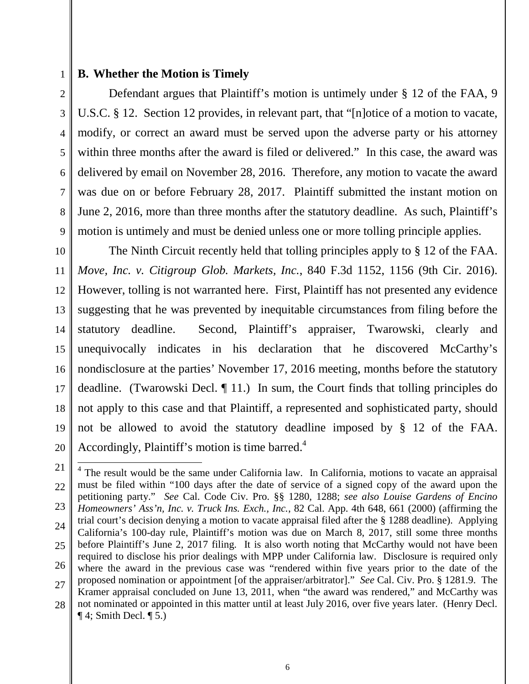#### **B. Whether the Motion is Timely**

Defendant argues that Plaintiff's motion is untimely under § 12 of the FAA, 9 U.S.C. § 12. Section 12 provides, in relevant part, that "[n]otice of a motion to vacate, modify, or correct an award must be served upon the adverse party or his attorney within three months after the award is filed or delivered." In this case, the award was delivered by email on November 28, 2016. Therefore, any motion to vacate the award was due on or before February 28, 2017. Plaintiff submitted the instant motion on June 2, 2016, more than three months after the statutory deadline. As such, Plaintiff's motion is untimely and must be denied unless one or more tolling principle applies.

The Ninth Circuit recently held that tolling principles apply to § 12 of the FAA. *Move, Inc. v. Citigroup Glob. Markets, Inc.*, 840 F.3d 1152, 1156 (9th Cir. 2016). However, tolling is not warranted here. First, Plaintiff has not presented any evidence suggesting that he was prevented by inequitable circumstances from filing before the statutory deadline. Second, Plaintiff's appraiser, Twarowski, clearly and unequivocally indicates in his declaration that he discovered McCarthy's nondisclosure at the parties' November 17, 2016 meeting, months before the statutory deadline. (Twarowski Decl. ¶ 11.) In sum, the Court finds that tolling principles do not apply to this case and that Plaintiff, a represented and sophisticated party, should not be allowed to avoid the statutory deadline imposed by § 12 of the FAA. Accordingly, Plaintiff's motion is time barred. $4$ 

<sup>28</sup>  <sup>4</sup> The result would be the same under California law. In California, motions to vacate an appraisal must be filed within "100 days after the date of service of a signed copy of the award upon the petitioning party." *See* Cal. Code Civ. Pro. §§ 1280, 1288; *see also Louise Gardens of Encino Homeowners' Ass'n, Inc. v. Truck Ins. Exch., Inc.*, 82 Cal. App. 4th 648, 661 (2000) (affirming the trial court's decision denying a motion to vacate appraisal filed after the § 1288 deadline). Applying California's 100-day rule, Plaintiff's motion was due on March 8, 2017, still some three months before Plaintiff's June 2, 2017 filing. It is also worth noting that McCarthy would not have been required to disclose his prior dealings with MPP under California law. Disclosure is required only where the award in the previous case was "rendered within five years prior to the date of the proposed nomination or appointment [of the appraiser/arbitrator]." *See* Cal. Civ. Pro. § 1281.9. The Kramer appraisal concluded on June 13, 2011, when "the award was rendered," and McCarthy was not nominated or appointed in this matter until at least July 2016, over five years later. (Henry Decl.  $\P$  4; Smith Decl.  $\P$  5.) 1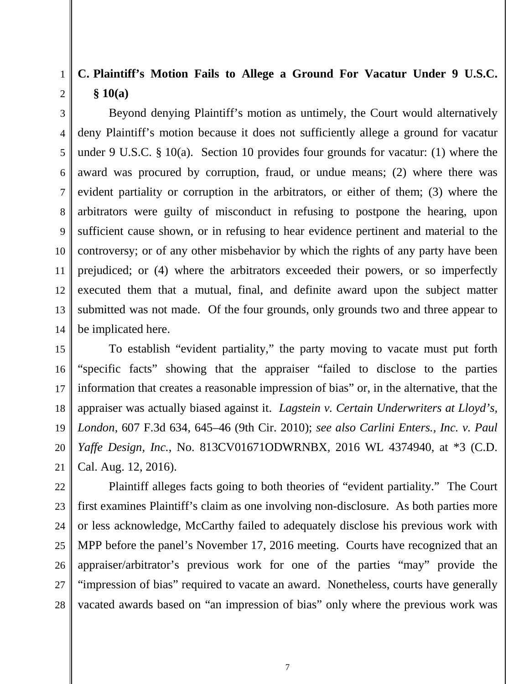# **C. Plaintiff's Motion Fails to Allege a Ground For Vacatur Under 9 U.S.C. § 10(a)**

Beyond denying Plaintiff's motion as untimely, the Court would alternatively deny Plaintiff's motion because it does not sufficiently allege a ground for vacatur under 9 U.S.C. § 10(a). Section 10 provides four grounds for vacatur: (1) where the award was procured by corruption, fraud, or undue means; (2) where there was evident partiality or corruption in the arbitrators, or either of them; (3) where the arbitrators were guilty of misconduct in refusing to postpone the hearing, upon sufficient cause shown, or in refusing to hear evidence pertinent and material to the controversy; or of any other misbehavior by which the rights of any party have been prejudiced; or (4) where the arbitrators exceeded their powers, or so imperfectly executed them that a mutual, final, and definite award upon the subject matter submitted was not made. Of the four grounds, only grounds two and three appear to be implicated here.

To establish "evident partiality," the party moving to vacate must put forth "specific facts" showing that the appraiser "failed to disclose to the parties information that creates a reasonable impression of bias" or, in the alternative, that the appraiser was actually biased against it. *Lagstein v. Certain Underwriters at Lloyd's, London*, 607 F.3d 634, 645–46 (9th Cir. 2010); *see also Carlini Enters., Inc. v. Paul Yaffe Design, Inc.*, No. 813CV01671ODWRNBX, 2016 WL 4374940, at \*3 (C.D. Cal. Aug. 12, 2016).

Plaintiff alleges facts going to both theories of "evident partiality." The Court first examines Plaintiff's claim as one involving non-disclosure. As both parties more or less acknowledge, McCarthy failed to adequately disclose his previous work with MPP before the panel's November 17, 2016 meeting. Courts have recognized that an appraiser/arbitrator's previous work for one of the parties "may" provide the "impression of bias" required to vacate an award. Nonetheless, courts have generally vacated awards based on "an impression of bias" only where the previous work was

1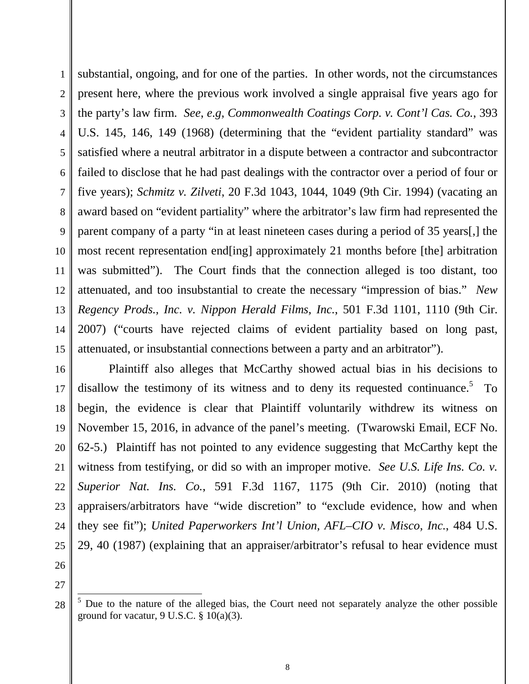1 2 3 4 5 6 7 8 9 10 11 12 13 14 15 substantial, ongoing, and for one of the parties. In other words, not the circumstances present here, where the previous work involved a single appraisal five years ago for the party's law firm. *See*, *e.g*, *Commonwealth Coatings Corp. v. Cont'l Cas. Co.*, 393 U.S. 145, 146, 149 (1968) (determining that the "evident partiality standard" was satisfied where a neutral arbitrator in a dispute between a contractor and subcontractor failed to disclose that he had past dealings with the contractor over a period of four or five years); *Schmitz v. Zilveti*, 20 F.3d 1043, 1044, 1049 (9th Cir. 1994) (vacating an award based on "evident partiality" where the arbitrator's law firm had represented the parent company of a party "in at least nineteen cases during a period of 35 years[,] the most recent representation end[ing] approximately 21 months before [the] arbitration was submitted"). The Court finds that the connection alleged is too distant, too attenuated, and too insubstantial to create the necessary "impression of bias." *New Regency Prods., Inc. v. Nippon Herald Films, Inc.*, 501 F.3d 1101, 1110 (9th Cir. 2007) ("courts have rejected claims of evident partiality based on long past, attenuated, or insubstantial connections between a party and an arbitrator").

16 17 18 19 20 21 22 23 24 25 Plaintiff also alleges that McCarthy showed actual bias in his decisions to disallow the testimony of its witness and to deny its requested continuance.<sup>5</sup> To begin, the evidence is clear that Plaintiff voluntarily withdrew its witness on November 15, 2016, in advance of the panel's meeting. (Twarowski Email, ECF No. 62-5.) Plaintiff has not pointed to any evidence suggesting that McCarthy kept the witness from testifying, or did so with an improper motive. *See U.S. Life Ins. Co. v. Superior Nat. Ins. Co.*, 591 F.3d 1167, 1175 (9th Cir. 2010) (noting that appraisers/arbitrators have "wide discretion" to "exclude evidence, how and when they see fit"); *United Paperworkers Int'l Union, AFL–CIO v. Misco, Inc.*, 484 U.S. 29, 40 (1987) (explaining that an appraiser/arbitrator's refusal to hear evidence must

26 27

28

 $\overline{a}$ 

<sup>5</sup> Due to the nature of the alleged bias, the Court need not separately analyze the other possible ground for vacatur,  $9 \text{ U.S.C. } § 10(a)(3)$ .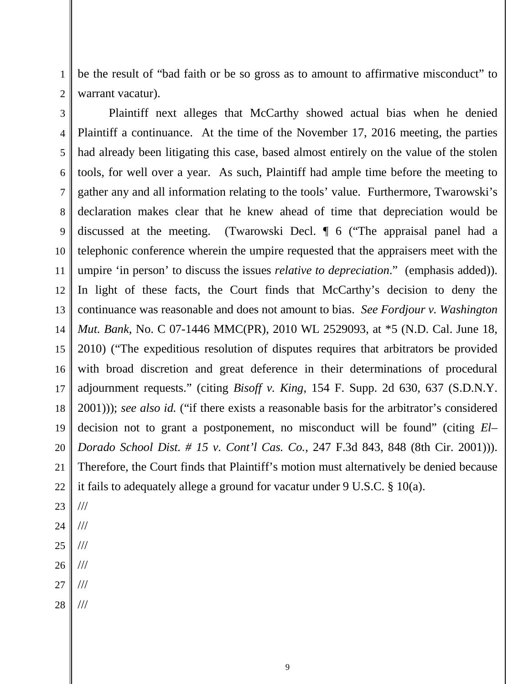be the result of "bad faith or be so gross as to amount to affirmative misconduct" to warrant vacatur).

3 4 5 6 7 8 9 10 11 12 13 14 15 16 17 18 19 20 21 22 Plaintiff next alleges that McCarthy showed actual bias when he denied Plaintiff a continuance. At the time of the November 17, 2016 meeting, the parties had already been litigating this case, based almost entirely on the value of the stolen tools, for well over a year. As such, Plaintiff had ample time before the meeting to gather any and all information relating to the tools' value. Furthermore, Twarowski's declaration makes clear that he knew ahead of time that depreciation would be discussed at the meeting. (Twarowski Decl. ¶ 6 ("The appraisal panel had a telephonic conference wherein the umpire requested that the appraisers meet with the umpire 'in person' to discuss the issues *relative to depreciation*." (emphasis added)). In light of these facts, the Court finds that McCarthy's decision to deny the continuance was reasonable and does not amount to bias. *See Fordjour v. Washington Mut. Bank*, No. C 07-1446 MMC(PR), 2010 WL 2529093, at \*5 (N.D. Cal. June 18, 2010) ("The expeditious resolution of disputes requires that arbitrators be provided with broad discretion and great deference in their determinations of procedural adjournment requests." (citing *Bisoff v. King*, 154 F. Supp. 2d 630, 637 (S.D.N.Y. 2001))); *see also id.* ("if there exists a reasonable basis for the arbitrator's considered decision not to grant a postponement, no misconduct will be found" (citing *El– Dorado School Dist. # 15 v. Cont'l Cas. Co.*, 247 F.3d 843, 848 (8th Cir. 2001))). Therefore, the Court finds that Plaintiff's motion must alternatively be denied because it fails to adequately allege a ground for vacatur under 9 U.S.C. § 10(a).

23 ///

1

- 24 25 /// ///
- 26 ///
- 27 ///
- 28 ///